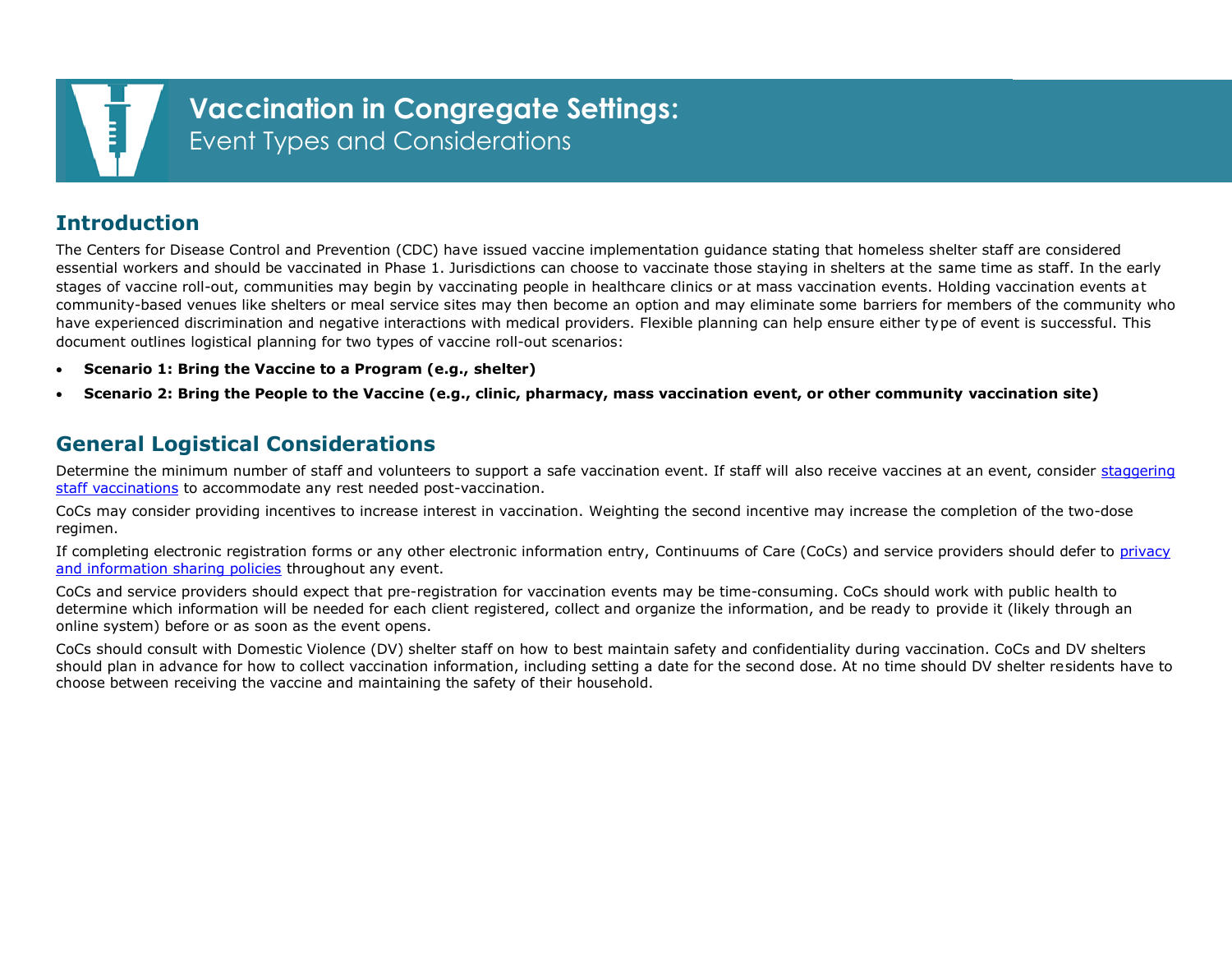

## **Introduction**

The Centers for Disease Control and Prevention (CDC) have issued vaccine implementation guidance stating that homeless shelter staff are considered essential workers and should be vaccinated in Phase 1. Jurisdictions can choose to vaccinate those staying in shelters at the same time as staff. In the early stages of vaccine roll-out, communities may begin by vaccinating people in healthcare clinics or at mass vaccination events. Holding vaccination events at community-based venues like shelters or meal service sites may then become an option and may eliminate some barriers for members of the community who have experienced discrimination and negative interactions with medical providers. Flexible planning can help ensure either type of event is successful. This document outlines logistical planning for two types of vaccine roll-out scenarios:

- **Scenario 1: Bring the Vaccine to a Program (e.g., shelter)**
- **Scenario 2: Bring the People to the Vaccine (e.g., clinic, pharmacy, mass vaccination event, or other community vaccination site)**

## **General Logistical Considerations**

Determine the minimum number of staff and volunteers to support a safe vaccination event. If staff will also receive vaccines at an event, consider [staggering](https://www.cdc.gov/vaccines/hcp/acip-recs/vacc-specific/covid-19/clinical-considerations.html)  [staff vaccinations](https://www.cdc.gov/vaccines/hcp/acip-recs/vacc-specific/covid-19/clinical-considerations.html) to accommodate any rest needed post-vaccination.

CoCs may consider providing incentives to increase interest in vaccination. Weighting the second incentive may increase the completion of the two-dose regimen.

If completing electronic registration forms or any other electronic information entry, Continuums of Care (CoCs) and service providers should defer to [privacy](https://files.hudexchange.info/resources/documents/HMIS-Privacy-Security-Standards-COVID-19-Response.pdf)  [and information](https://files.hudexchange.info/resources/documents/HMIS-Privacy-Security-Standards-COVID-19-Response.pdf) sharing policies throughout any event.

CoCs and service providers should expect that pre-registration for vaccination events may be time-consuming. CoCs should work with public health to determine which information will be needed for each client registered, collect and organize the information, and be ready to provide it (likely through an online system) before or as soon as the event opens.

CoCs should consult with Domestic Violence (DV) shelter staff on how to best maintain safety and confidentiality during vaccination. CoCs and DV shelters should plan in advance for how to collect vaccination information, including setting a date for the second dose. At no time should DV shelter residents have to choose between receiving the vaccine and maintaining the safety of their household.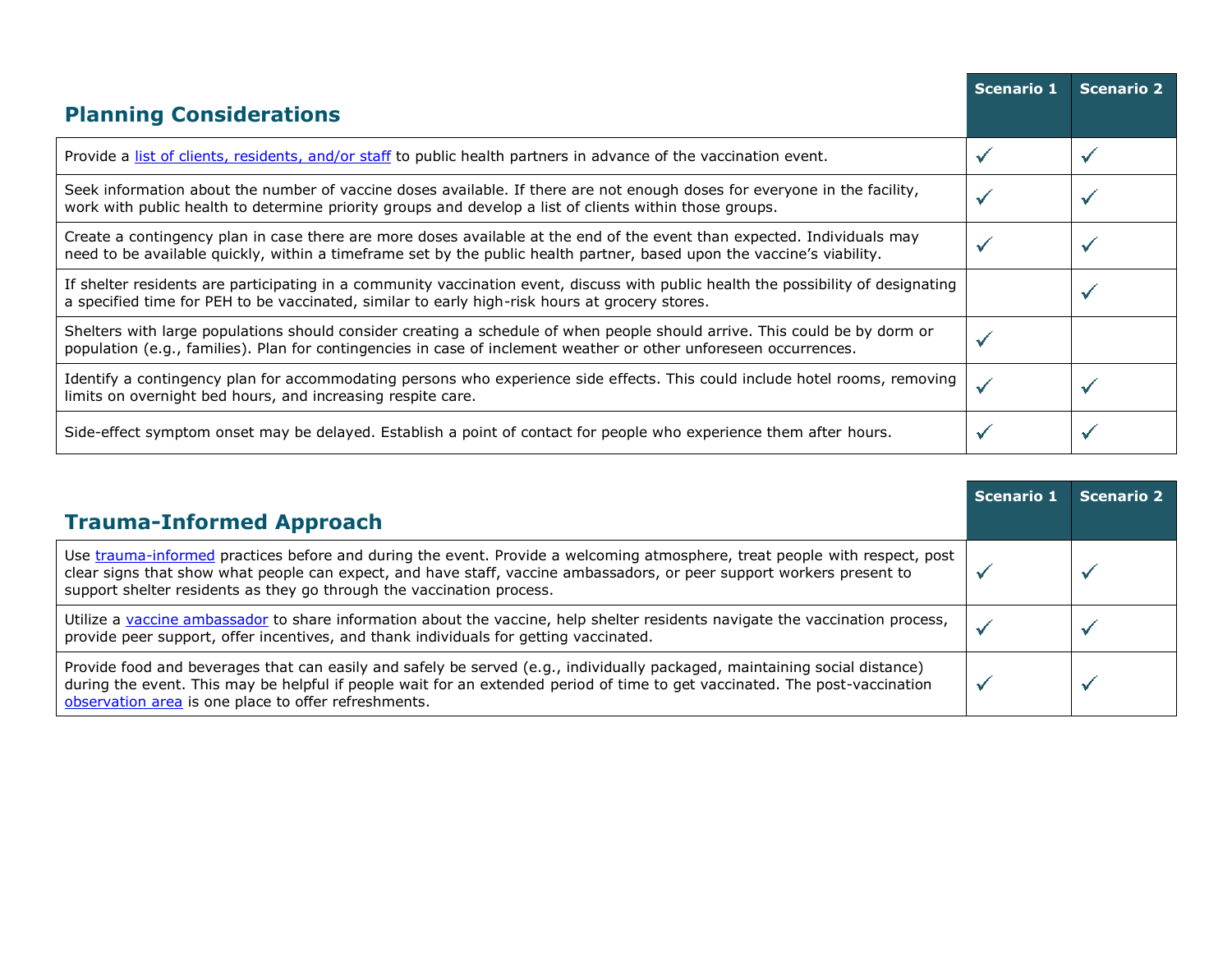|                                                                                                                                                                                                                                                   | <b>Scenario 1</b> | <b>Scenario 2</b> |
|---------------------------------------------------------------------------------------------------------------------------------------------------------------------------------------------------------------------------------------------------|-------------------|-------------------|
| <b>Planning Considerations</b>                                                                                                                                                                                                                    |                   |                   |
| Provide a list of clients, residents, and/or staff to public health partners in advance of the vaccination event.                                                                                                                                 |                   |                   |
| Seek information about the number of vaccine doses available. If there are not enough doses for everyone in the facility,<br>work with public health to determine priority groups and develop a list of clients within those groups.              |                   |                   |
| Create a contingency plan in case there are more doses available at the end of the event than expected. Individuals may<br>need to be available quickly, within a timeframe set by the public health partner, based upon the vaccine's viability. |                   |                   |
| If shelter residents are participating in a community vaccination event, discuss with public health the possibility of designating<br>a specified time for PEH to be vaccinated, similar to early high-risk hours at grocery stores.              |                   |                   |
| Shelters with large populations should consider creating a schedule of when people should arrive. This could be by dorm or<br>population (e.g., families). Plan for contingencies in case of inclement weather or other unforeseen occurrences.   |                   |                   |
| Identify a contingency plan for accommodating persons who experience side effects. This could include hotel rooms, removing<br>limits on overnight bed hours, and increasing respite care.                                                        | $\checkmark$      |                   |
| Side-effect symptom onset may be delayed. Establish a point of contact for people who experience them after hours.                                                                                                                                |                   |                   |

| <b>Trauma-Informed Approach</b>                                                                                                                                                                                                                                                                                              | Scenario 1 | <b>Scenario 2</b> |
|------------------------------------------------------------------------------------------------------------------------------------------------------------------------------------------------------------------------------------------------------------------------------------------------------------------------------|------------|-------------------|
| Use trauma-informed practices before and during the event. Provide a welcoming atmosphere, treat people with respect, post<br>clear signs that show what people can expect, and have staff, vaccine ambassadors, or peer support workers present to<br>support shelter residents as they go through the vaccination process. |            |                   |
| Utilize a vaccine ambassador to share information about the vaccine, help shelter residents navigate the vaccination process,<br>provide peer support, offer incentives, and thank individuals for getting vaccinated.                                                                                                       |            |                   |
| Provide food and beverages that can easily and safely be served (e.g., individually packaged, maintaining social distance)<br>during the event. This may be helpful if people wait for an extended period of time to get vaccinated. The post-vaccination<br>observation area is one place to offer refreshments.            |            |                   |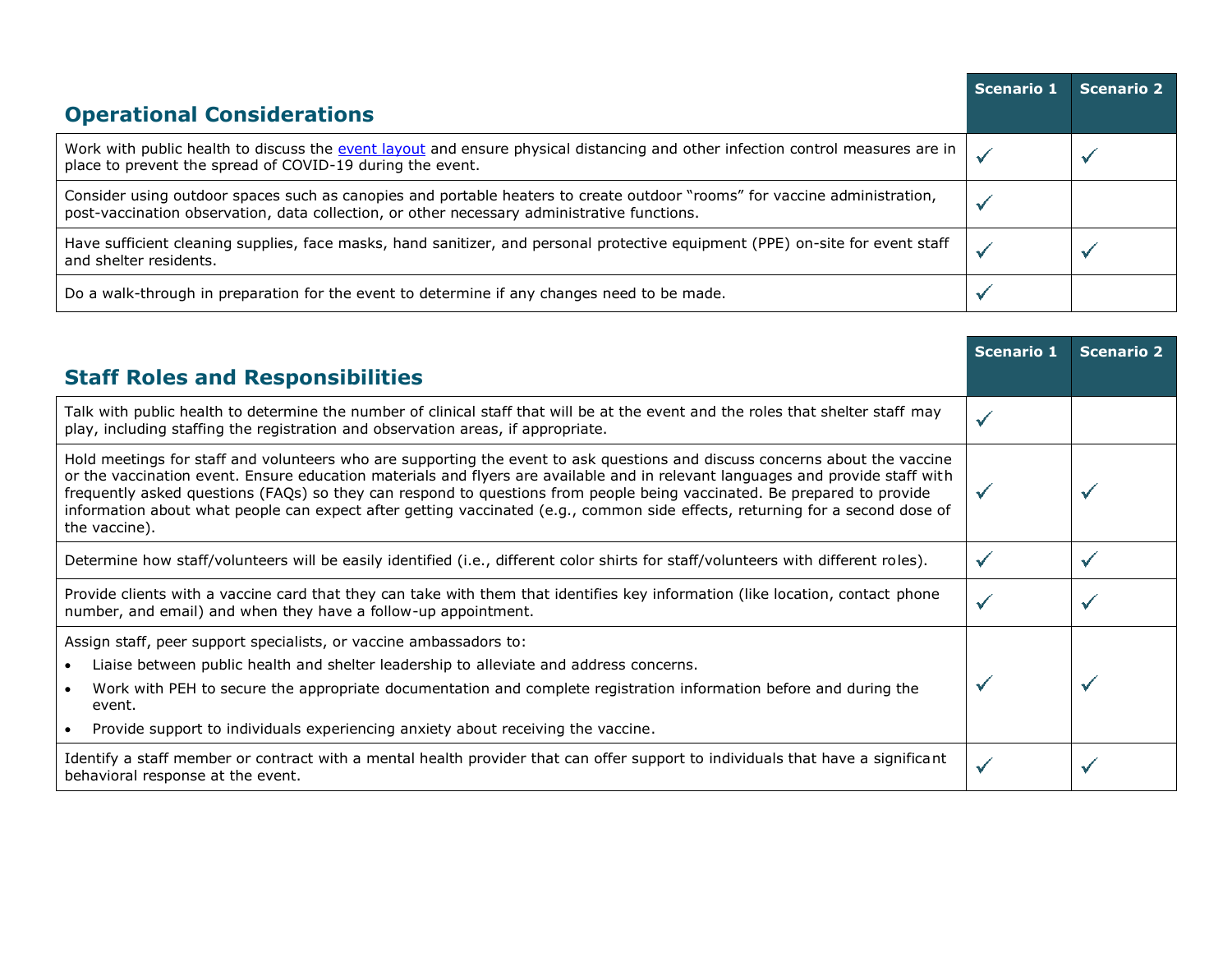|                                                                                                                                                                                                                          | <b>Scenario 1</b> | <b>Scenario 2</b> |
|--------------------------------------------------------------------------------------------------------------------------------------------------------------------------------------------------------------------------|-------------------|-------------------|
| <b>Operational Considerations</b>                                                                                                                                                                                        |                   |                   |
| Work with public health to discuss the event layout and ensure physical distancing and other infection control measures are in<br>place to prevent the spread of COVID-19 during the event.                              |                   |                   |
| Consider using outdoor spaces such as canopies and portable heaters to create outdoor "rooms" for vaccine administration,<br>post-vaccination observation, data collection, or other necessary administrative functions. |                   |                   |
| Have sufficient cleaning supplies, face masks, hand sanitizer, and personal protective equipment (PPE) on-site for event staff<br>and shelter residents.                                                                 |                   |                   |
| Do a walk-through in preparation for the event to determine if any changes need to be made.                                                                                                                              |                   |                   |

|                                                                                                                                                                                                                                                                                                                                                                                                                                                                                                                                           | <b>Scenario 1</b> | <b>Scenario 2</b> |
|-------------------------------------------------------------------------------------------------------------------------------------------------------------------------------------------------------------------------------------------------------------------------------------------------------------------------------------------------------------------------------------------------------------------------------------------------------------------------------------------------------------------------------------------|-------------------|-------------------|
| <b>Staff Roles and Responsibilities</b>                                                                                                                                                                                                                                                                                                                                                                                                                                                                                                   |                   |                   |
| Talk with public health to determine the number of clinical staff that will be at the event and the roles that shelter staff may<br>play, including staffing the registration and observation areas, if appropriate.                                                                                                                                                                                                                                                                                                                      | $\checkmark$      |                   |
| Hold meetings for staff and volunteers who are supporting the event to ask questions and discuss concerns about the vaccine<br>or the vaccination event. Ensure education materials and flyers are available and in relevant languages and provide staff with<br>frequently asked questions (FAQs) so they can respond to questions from people being vaccinated. Be prepared to provide<br>information about what people can expect after getting vaccinated (e.g., common side effects, returning for a second dose of<br>the vaccine). | $\checkmark$      |                   |
| Determine how staff/volunteers will be easily identified (i.e., different color shirts for staff/volunteers with different roles).                                                                                                                                                                                                                                                                                                                                                                                                        | $\checkmark$      |                   |
| Provide clients with a vaccine card that they can take with them that identifies key information (like location, contact phone<br>number, and email) and when they have a follow-up appointment.                                                                                                                                                                                                                                                                                                                                          | $\checkmark$      |                   |
| Assign staff, peer support specialists, or vaccine ambassadors to:<br>Liaise between public health and shelter leadership to alleviate and address concerns.<br>Work with PEH to secure the appropriate documentation and complete registration information before and during the<br>event.<br>Provide support to individuals experiencing anxiety about receiving the vaccine.<br>$\bullet$                                                                                                                                              |                   |                   |
| Identify a staff member or contract with a mental health provider that can offer support to individuals that have a significant<br>behavioral response at the event.                                                                                                                                                                                                                                                                                                                                                                      | $\checkmark$      |                   |